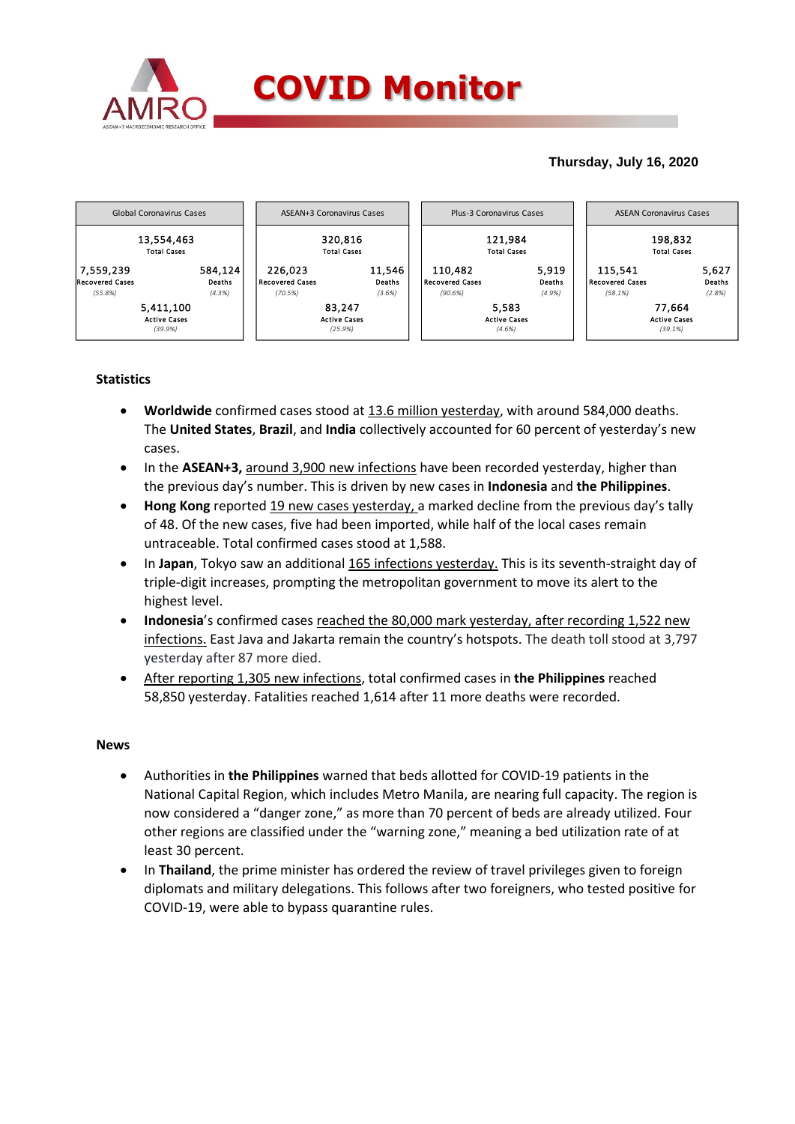

### **Thursday, July 16, 2020**



## **Statistics**

- **Worldwide** confirmed cases stood at 13.6 million yesterday, with around 584,000 deaths. The **United States**, **Brazil**, and **India** collectively accounted for 60 percent of yesterday's new cases.
- In the **ASEAN+3,** around 3,900 new infections have been recorded yesterday, higher than the previous day's number. This is driven by new cases in **Indonesia** and **the Philippines**.
- **Hong Kong** reported 19 new cases yesterday, a marked decline from the previous day's tally of 48. Of the new cases, five had been imported, while half of the local cases remain untraceable. Total confirmed cases stood at 1,588.
- In Japan, Tokyo saw an additional 165 infections yesterday. This is its seventh-straight day of triple-digit increases, prompting the metropolitan government to move its alert to the highest level.
- **Indonesia**'s confirmed cases reached the 80,000 mark yesterday, after recording 1,522 new infections. East Java and Jakarta remain the country's hotspots. The death toll stood at 3,797 yesterday after 87 more died.
- After reporting 1,305 new infections, total confirmed cases in **the Philippines** reached 58,850 yesterday. Fatalities reached 1,614 after 11 more deaths were recorded.

#### **News**

- Authorities in **the Philippines** warned that beds allotted for COVID-19 patients in the National Capital Region, which includes Metro Manila, are nearing full capacity. The region is now considered a "danger zone," as more than 70 percent of beds are already utilized. Four other regions are classified under the "warning zone," meaning a bed utilization rate of at least 30 percent.
- In **Thailand**, the prime minister has ordered the review of travel privileges given to foreign diplomats and military delegations. This follows after two foreigners, who tested positive for COVID-19, were able to bypass quarantine rules.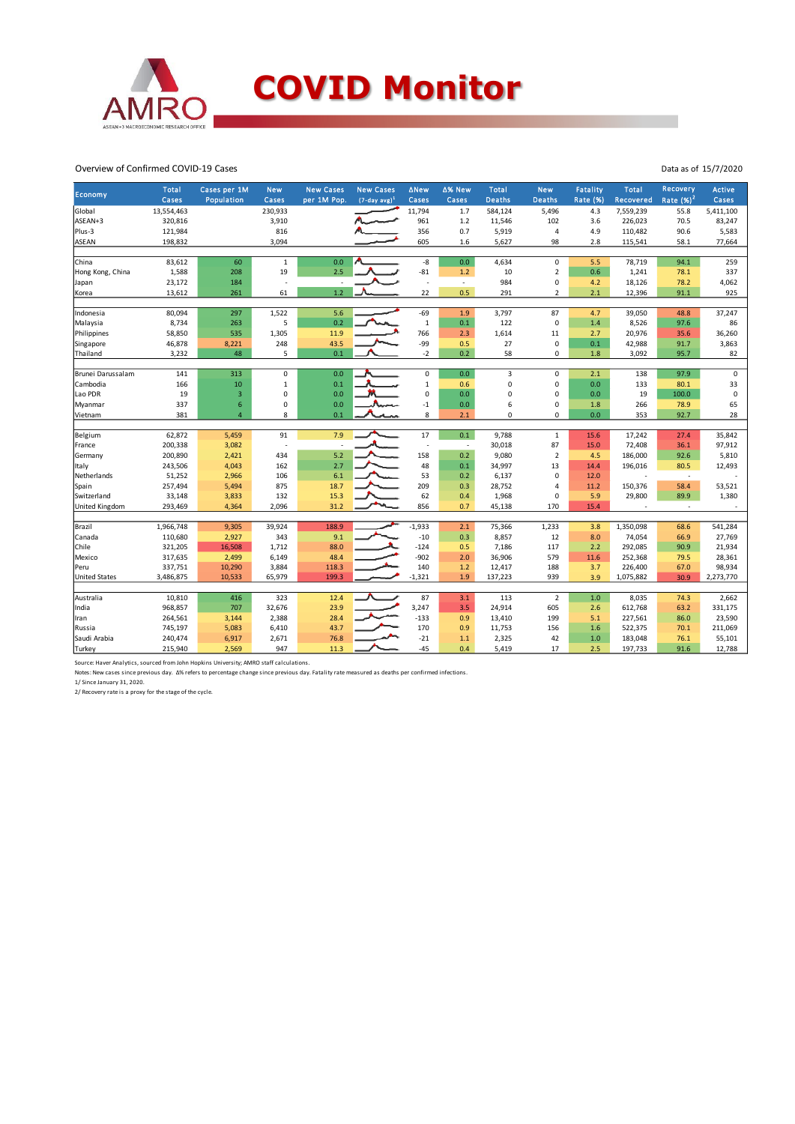

#### Overview of Confirmed COVID-19 Cases

| Economy               | Total<br>Cases | Cases per 1M<br>Population | <b>New</b><br>Cases | <b>New Cases</b><br>per 1M Pop. | <b>New Cases</b><br>$(7-day avg)1$ | <b>ANew</b><br>Cases     | ∆% New<br>Cases | <b>Total</b><br><b>Deaths</b> | <b>New</b><br><b>Deaths</b> | <b>Fatality</b><br><b>Rate (%)</b> | <b>Total</b><br>Recovered | Recovery<br>Rate $(%)2$ | Active<br>Cases |
|-----------------------|----------------|----------------------------|---------------------|---------------------------------|------------------------------------|--------------------------|-----------------|-------------------------------|-----------------------------|------------------------------------|---------------------------|-------------------------|-----------------|
| Global                | 13,554,463     |                            | 230,933             |                                 |                                    | 11,794                   | 1.7             | 584,124                       | 5,496                       | 4.3                                | 7,559,239                 | 55.8                    | 5,411,100       |
| ASEAN+3               | 320,816        |                            | 3,910               |                                 |                                    | 961                      | 1.2             | 11,546                        | 102                         | 3.6                                | 226,023                   | 70.5                    | 83,247          |
| Plus-3                | 121,984        |                            | 816                 |                                 |                                    | 356                      | 0.7             | 5,919                         | $\sqrt{4}$                  | 4.9                                | 110,482                   | 90.6                    | 5,583           |
| ASEAN                 | 198,832        |                            | 3,094               |                                 |                                    | 605                      | 1.6             | 5,627                         | 98                          | 2.8                                | 115,541                   | 58.1                    | 77,664          |
|                       |                |                            |                     |                                 |                                    |                          |                 |                               |                             |                                    |                           |                         |                 |
| China                 | 83,612         | 60                         | $\mathbf{1}$        | 0.0                             |                                    | -8                       | 0.0             | 4,634                         | $\pmb{0}$                   | 5.5                                | 78,719                    | 94.1                    | 259             |
| Hong Kong, China      | 1,588          | 208                        | 19                  | 2.5                             |                                    | $-81$                    | $1.2$           | 10                            | $\overline{2}$              | 0.6                                | 1,241                     | 78.1                    | 337             |
| Japan                 | 23,172         | 184                        | ×                   |                                 |                                    | ÷.                       | $\sim$          | 984                           | $\pmb{0}$                   | 4.2                                | 18,126                    | 78.2                    | 4,062           |
| Korea                 | 13,612         | 261                        | 61                  | $1.2$                           |                                    | 22                       | 0.5             | 291                           | $\overline{\mathbf{c}}$     | 2.1                                | 12,396                    | 91.1                    | 925             |
|                       |                |                            |                     |                                 |                                    |                          |                 |                               |                             |                                    |                           |                         |                 |
| Indonesia             | 80,094         | 297                        | 1,522               | 5.6                             |                                    | $-69$                    | 1.9             | 3,797                         | 87                          | 4.7                                | 39,050                    | 48.8                    | 37,247          |
| Malaysia              | 8,734          | 263                        | 5                   | 0.2                             |                                    | $\mathbf 1$              | 0.1             | 122                           | $\mathbf 0$                 | 1.4                                | 8,526                     | 97.6                    | 86              |
| Philippines           | 58,850         | 535                        | 1,305               | 11.9                            |                                    | 766                      | 2.3             | 1,614                         | 11                          | 2.7                                | 20,976                    | 35.6                    | 36,260          |
| Singapore             | 46,878         | 8,221                      | 248                 | 43.5                            |                                    | -99                      | 0.5             | 27                            | $\pmb{0}$                   | 0.1                                | 42,988                    | 91.7                    | 3,863           |
| Thailand              | 3,232          | 48                         | 5                   | 0.1                             |                                    | $-2$                     | 0.2             | 58                            | 0                           | 1.8                                | 3,092                     | 95.7                    | 82              |
| Brunei Darussalam     | 141            | 313                        | $\mathbf 0$         | 0.0                             |                                    | 0                        | 0.0             | $\overline{3}$                | $\mathbf 0$                 | 2.1                                | 138                       | 97.9                    | $\mathbf 0$     |
| Cambodia              | 166            | 10                         | $\mathbf 1$         | 0.1                             |                                    | $\mathbf 1$              | 0.6             | 0                             | $\pmb{0}$                   | 0.0                                | 133                       | 80.1                    | 33              |
| Lao PDR               | 19             | 3                          | 0                   | 0.0                             |                                    | $\mathbf 0$              | 0.0             | 0                             | $\mathbf 0$                 | 0.0                                | 19                        | 100.0                   | $\mathbf 0$     |
| Myanmar               | 337            | $\boldsymbol{6}$           | 0                   | 0.0                             |                                    | $-1$                     | 0.0             | 6                             | $\pmb{0}$                   | 1.8                                | 266                       | 78.9                    | 65              |
| Vietnam               | 381            | $\overline{4}$             | 8                   | 0.1                             |                                    | 8                        | 2.1             | 0                             | 0                           | 0.0                                | 353                       | 92.7                    | 28              |
|                       |                |                            |                     |                                 |                                    |                          |                 |                               |                             |                                    |                           |                         |                 |
| Belgium               | 62,872         | 5,459                      | 91                  | 7.9                             |                                    | 17                       | 0.1             | 9,788                         | $\,$ 1                      | 15.6                               | 17,242                    | 27.4                    | 35,842          |
| France                | 200,338        | 3,082                      | $\sim$              | ÷                               |                                    | $\overline{\phantom{a}}$ | $\sim$          | 30,018                        | 87                          | 15.0                               | 72,408                    | 36.1                    | 97,912          |
| Germany               | 200,890        | 2,421                      | 434                 | 5.2                             |                                    | 158                      | 0.2             | 9,080                         | $\overline{2}$              | 4.5                                | 186,000                   | 92.6                    | 5,810           |
| Italy                 | 243,506        | 4,043                      | 162                 | 2.7                             |                                    | 48                       | 0.1             | 34,997                        | 13                          | 14.4                               | 196,016                   | 80.5                    | 12,493          |
| Netherlands           | 51,252         | 2,966                      | 106                 | 6.1                             |                                    | 53                       | 0.2             | 6,137                         | $\mathbf 0$                 | 12.0                               |                           | $\sim$                  |                 |
| Spain                 | 257,494        | 5,494                      | 875                 | 18.7                            |                                    | 209                      | 0.3             | 28,752                        | $\overline{a}$              | 11.2                               | 150,376                   | 58.4                    | 53,521          |
| Switzerland           | 33,148         | 3,833                      | 132                 | 15.3                            |                                    | 62                       | 0.4             | 1,968                         | 0                           | 5.9                                | 29,800                    | 89.9                    | 1,380           |
| <b>United Kingdom</b> | 293,469        | 4,364                      | 2,096               | 31.2                            |                                    | 856                      | 0.7             | 45,138                        | 170                         | 15.4                               | $\overline{\phantom{a}}$  | $\sim$                  |                 |
|                       |                |                            |                     |                                 |                                    |                          |                 |                               |                             |                                    |                           |                         |                 |
| Brazil                | 1,966,748      | 9,305                      | 39,924              | 188.9                           |                                    | $-1,933$                 | 2.1             | 75,366                        | 1,233                       | 3.8                                | 1,350,098                 | 68.6                    | 541,284         |
| Canada                | 110,680        | 2,927                      | 343                 | 9.1                             |                                    | $-10$                    | 0.3             | 8,857                         | 12                          | 8.0                                | 74,054                    | 66.9                    | 27,769          |
| Chile                 | 321,205        | 16,508                     | 1,712               | 88.0                            |                                    | $-124$                   | 0.5             | 7,186                         | 117                         | 2.2                                | 292,085                   | 90.9                    | 21,934          |
| Mexico                | 317,635        | 2,499                      | 6,149               | 48.4                            |                                    | $-902$                   | 2.0             | 36,906                        | 579                         | 11.6                               | 252,368                   | 79.5                    | 28,361          |
| lPeru                 | 337,751        | 10,290                     | 3,884               | 118.3                           |                                    | 140                      | $1.2$           | 12,417                        | 188                         | 3.7                                | 226,400                   | 67.0                    | 98,934          |
| <b>United States</b>  | 3,486,875      | 10,533                     | 65,979              | 199.3                           |                                    | $-1,321$                 | 1.9             | 137,223                       | 939                         | 3.9                                | 1,075,882                 | 30.9                    | 2,273,770       |
|                       |                |                            |                     |                                 |                                    |                          |                 |                               |                             |                                    |                           |                         |                 |
| Australia             | 10,810         | 416                        | 323                 | 12.4                            |                                    | 87                       | 3.1             | 113                           | $\overline{2}$              | $1.0$                              | 8,035                     | 74.3                    | 2,662           |
| India                 | 968,857        | 707                        | 32,676              | 23.9                            |                                    | 3,247                    | 3.5             | 24,914                        | 605                         | 2.6                                | 612,768                   | 63.2                    | 331,175         |
| Iran                  | 264,561        | 3,144                      | 2,388               | 28.4                            |                                    | $-133$                   | 0.9             | 13,410                        | 199                         | 5.1                                | 227,561                   | 86.0                    | 23,590          |
| Russia                | 745,197        | 5,083                      | 6,410               | 43.7                            |                                    | 170                      | 0.9             | 11,753                        | 156                         | 1.6                                | 522,375                   | 70.1                    | 211,069         |
| Saudi Arabia          | 240,474        | 6,917                      | 2,671               | 76.8                            |                                    | $-21$                    | 1.1             | 2,325                         | 42                          | $1.0$                              | 183,048                   | 76.1                    | 55,101          |
| Turkey                | 215,940        | 2,569                      | 947                 | 11.3                            |                                    | $-45$                    | 0.4             | 5,419                         | 17                          | 2.5                                | 197,733                   | 91.6                    | 12,788          |

Source: Haver Analytics, sourced from John Hopkins University; AMRO staff calculations.<br>Notes: New cases since previous day. ∆% refers to percentage change since previous day. Fatality rate measured as deaths per confirmed

1/ Since January 31, 2020. 2/ Recovery rate is a proxy for the stage of the cycle.

Data as of 15/7/2020